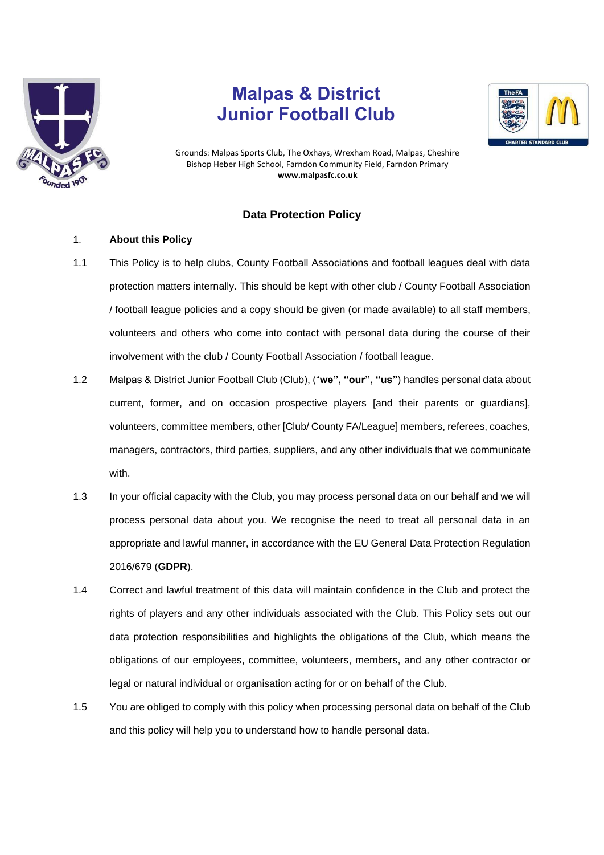

# **Malpas & District Junior Football Club**



Grounds: Malpas Sports Club, The Oxhays, Wrexham Road, Malpas, Cheshire Bishop Heber High School, Farndon Community Field, Farndon Primary **www.malpasfc.co.uk** 

## **Data Protection Policy**

## 1. **About this Policy**

- 1.1 This Policy is to help clubs, County Football Associations and football leagues deal with data protection matters internally. This should be kept with other club / County Football Association / football league policies and a copy should be given (or made available) to all staff members, volunteers and others who come into contact with personal data during the course of their involvement with the club / County Football Association / football league.
- 1.2 Malpas & District Junior Football Club (Club), ("**we", "our", "us"**) handles personal data about current, former, and on occasion prospective players [and their parents or guardians], volunteers, committee members, other [Club/ County FA/League] members, referees, coaches, managers, contractors, third parties, suppliers, and any other individuals that we communicate with.
- 1.3 In your official capacity with the Club, you may process personal data on our behalf and we will process personal data about you. We recognise the need to treat all personal data in an appropriate and lawful manner, in accordance with the EU General Data Protection Regulation 2016/679 (**GDPR**).
- 1.4 Correct and lawful treatment of this data will maintain confidence in the Club and protect the rights of players and any other individuals associated with the Club. This Policy sets out our data protection responsibilities and highlights the obligations of the Club, which means the obligations of our employees, committee, volunteers, members, and any other contractor or legal or natural individual or organisation acting for or on behalf of the Club.
- 1.5 You are obliged to comply with this policy when processing personal data on behalf of the Club and this policy will help you to understand how to handle personal data.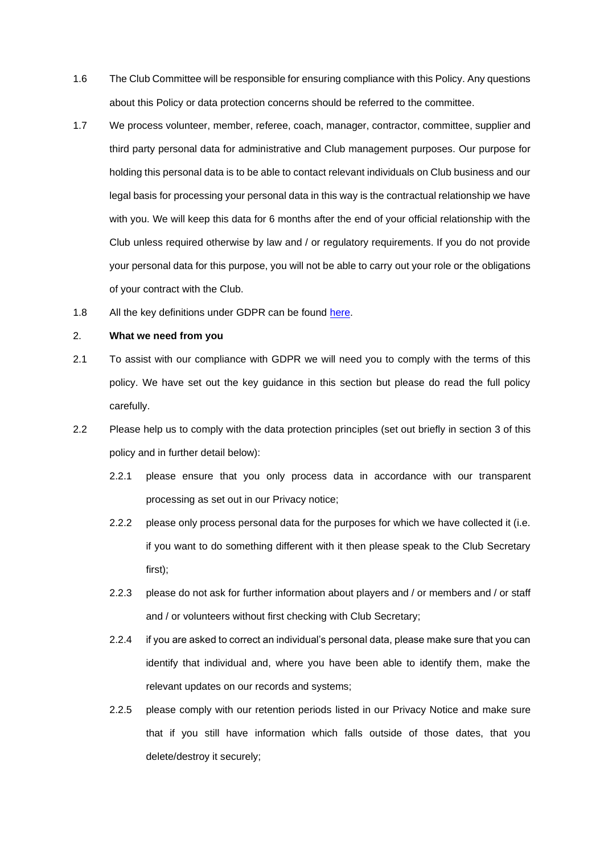- 1.6 The Club Committee will be responsible for ensuring compliance with this Policy. Any questions about this Policy or data protection concerns should be referred to the committee.
- 1.7 We process volunteer, member, referee, coach, manager, contractor, committee, supplier and third party personal data for administrative and Club management purposes. Our purpose for holding this personal data is to be able to contact relevant individuals on Club business and our legal basis for processing your personal data in this way is the contractual relationship we have with you. We will keep this data for 6 months after the end of your official relationship with the Club unless required otherwise by law and / or regulatory requirements. If you do not provide your personal data for this purpose, you will not be able to carry out your role or the obligations of your contract with the Club.
- 1.8 All the key definitions under GDPR can be found [here.](https://ico.org.uk/for-organisations/guide-to-the-general-data-protection-regulation-gdpr/key-definitions/)

#### 2. **What we need from you**

- 2.1 To assist with our compliance with GDPR we will need you to comply with the terms of this policy. We have set out the key guidance in this section but please do read the full policy carefully.
- 2.2 Please help us to comply with the data protection principles (set out briefly in section [3](#page-2-0) of this policy and in further detail below):
	- 2.2.1 please ensure that you only process data in accordance with our transparent processing as set out in our Privacy notice;
	- 2.2.2 please only process personal data for the purposes for which we have collected it (i.e. if you want to do something different with it then please speak to the Club Secretary first);
	- 2.2.3 please do not ask for further information about players and / or members and / or staff and / or volunteers without first checking with Club Secretary;
	- 2.2.4 if you are asked to correct an individual's personal data, please make sure that you can identify that individual and, where you have been able to identify them, make the relevant updates on our records and systems;
	- 2.2.5 please comply with our retention periods listed in our Privacy Notice and make sure that if you still have information which falls outside of those dates, that you delete/destroy it securely;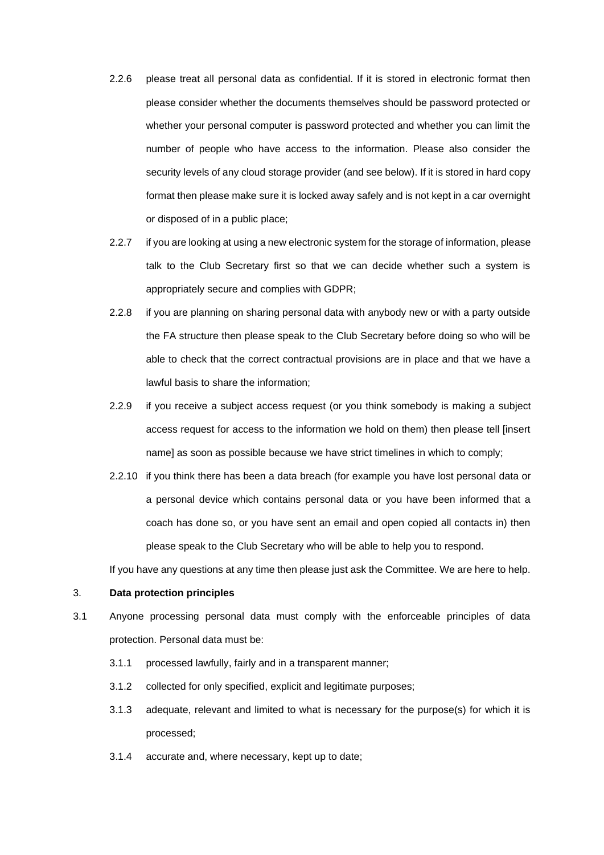- 2.2.6 please treat all personal data as confidential. If it is stored in electronic format then please consider whether the documents themselves should be password protected or whether your personal computer is password protected and whether you can limit the number of people who have access to the information. Please also consider the security levels of any cloud storage provider (and see below). If it is stored in hard copy format then please make sure it is locked away safely and is not kept in a car overnight or disposed of in a public place;
- 2.2.7 if you are looking at using a new electronic system for the storage of information, please talk to the Club Secretary first so that we can decide whether such a system is appropriately secure and complies with GDPR;
- 2.2.8 if you are planning on sharing personal data with anybody new or with a party outside the FA structure then please speak to the Club Secretary before doing so who will be able to check that the correct contractual provisions are in place and that we have a lawful basis to share the information;
- 2.2.9 if you receive a subject access request (or you think somebody is making a subject access request for access to the information we hold on them) then please tell [insert name] as soon as possible because we have strict timelines in which to comply;
- 2.2.10 if you think there has been a data breach (for example you have lost personal data or a personal device which contains personal data or you have been informed that a coach has done so, or you have sent an email and open copied all contacts in) then please speak to the Club Secretary who will be able to help you to respond.

If you have any questions at any time then please just ask the Committee. We are here to help.

## <span id="page-2-0"></span>3. **Data protection principles**

- 3.1 Anyone processing personal data must comply with the enforceable principles of data protection. Personal data must be:
	- 3.1.1 processed lawfully, fairly and in a transparent manner;
	- 3.1.2 collected for only specified, explicit and legitimate purposes;
	- 3.1.3 adequate, relevant and limited to what is necessary for the purpose(s) for which it is processed;
	- 3.1.4 accurate and, where necessary, kept up to date;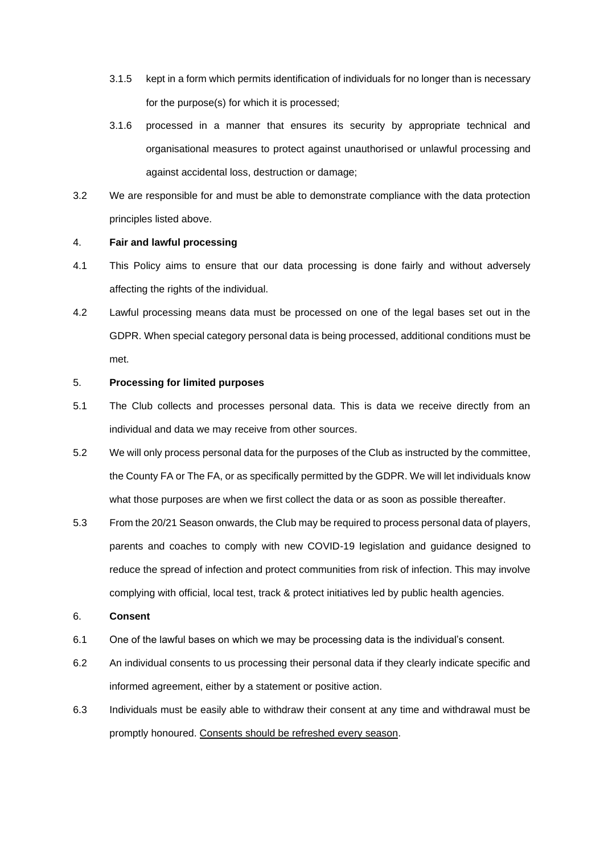- 3.1.5 kept in a form which permits identification of individuals for no longer than is necessary for the purpose(s) for which it is processed;
- 3.1.6 processed in a manner that ensures its security by appropriate technical and organisational measures to protect against unauthorised or unlawful processing and against accidental loss, destruction or damage;
- 3.2 We are responsible for and must be able to demonstrate compliance with the data protection principles listed above.

#### 4. **Fair and lawful processing**

- 4.1 This Policy aims to ensure that our data processing is done fairly and without adversely affecting the rights of the individual.
- 4.2 Lawful processing means data must be processed on one of the legal bases set out in the GDPR. When special category personal data is being processed, additional conditions must be met.

## 5. **Processing for limited purposes**

- 5.1 The Club collects and processes personal data. This is data we receive directly from an individual and data we may receive from other sources.
- 5.2 We will only process personal data for the purposes of the Club as instructed by the committee, the County FA or The FA, or as specifically permitted by the GDPR. We will let individuals know what those purposes are when we first collect the data or as soon as possible thereafter.
- 5.3 From the 20/21 Season onwards, the Club may be required to process personal data of players, parents and coaches to comply with new COVID-19 legislation and guidance designed to reduce the spread of infection and protect communities from risk of infection. This may involve complying with official, local test, track & protect initiatives led by public health agencies.

## 6. **Consent**

- 6.1 One of the lawful bases on which we may be processing data is the individual's consent.
- 6.2 An individual consents to us processing their personal data if they clearly indicate specific and informed agreement, either by a statement or positive action.
- 6.3 Individuals must be easily able to withdraw their consent at any time and withdrawal must be promptly honoured. Consents should be refreshed every season.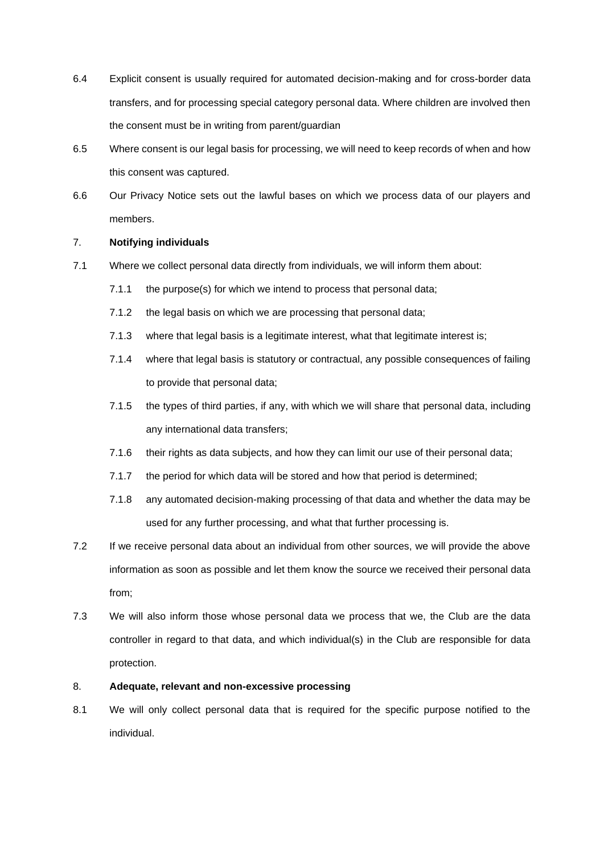- 6.4 Explicit consent is usually required for automated decision-making and for cross-border data transfers, and for processing special category personal data. Where children are involved then the consent must be in writing from parent/guardian
- 6.5 Where consent is our legal basis for processing, we will need to keep records of when and how this consent was captured.
- 6.6 Our Privacy Notice sets out the lawful bases on which we process data of our players and members.

## 7. **Notifying individuals**

- 7.1 Where we collect personal data directly from individuals, we will inform them about:
	- 7.1.1 the purpose(s) for which we intend to process that personal data;
	- 7.1.2 the legal basis on which we are processing that personal data;
	- 7.1.3 where that legal basis is a legitimate interest, what that legitimate interest is;
	- 7.1.4 where that legal basis is statutory or contractual, any possible consequences of failing to provide that personal data;
	- 7.1.5 the types of third parties, if any, with which we will share that personal data, including any international data transfers;
	- 7.1.6 their rights as data subjects, and how they can limit our use of their personal data;
	- 7.1.7 the period for which data will be stored and how that period is determined;
	- 7.1.8 any automated decision-making processing of that data and whether the data may be used for any further processing, and what that further processing is.
- 7.2 If we receive personal data about an individual from other sources, we will provide the above information as soon as possible and let them know the source we received their personal data from;
- 7.3 We will also inform those whose personal data we process that we, the Club are the data controller in regard to that data, and which individual(s) in the Club are responsible for data protection.

## 8. **Adequate, relevant and non-excessive processing**

8.1 We will only collect personal data that is required for the specific purpose notified to the individual.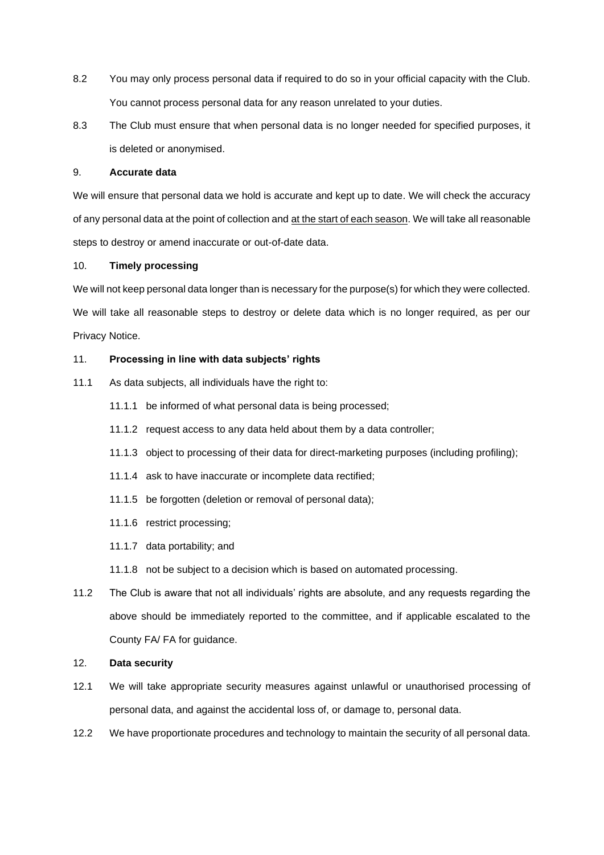- 8.2 You may only process personal data if required to do so in your official capacity with the Club. You cannot process personal data for any reason unrelated to your duties.
- 8.3 The Club must ensure that when personal data is no longer needed for specified purposes, it is deleted or anonymised.

#### 9. **Accurate data**

We will ensure that personal data we hold is accurate and kept up to date. We will check the accuracy of any personal data at the point of collection and at the start of each season. We will take all reasonable steps to destroy or amend inaccurate or out-of-date data.

## 10. **Timely processing**

We will not keep personal data longer than is necessary for the purpose(s) for which they were collected. We will take all reasonable steps to destroy or delete data which is no longer required, as per our Privacy Notice.

## 11. **Processing in line with data subjects' rights**

- 11.1 As data subjects, all individuals have the right to:
	- 11.1.1 be informed of what personal data is being processed;
	- 11.1.2 request access to any data held about them by a data controller;
	- 11.1.3 object to processing of their data for direct-marketing purposes (including profiling);
	- 11.1.4 ask to have inaccurate or incomplete data rectified;
	- 11.1.5 be forgotten (deletion or removal of personal data);
	- 11.1.6 restrict processing;
	- 11.1.7 data portability; and
	- 11.1.8 not be subject to a decision which is based on automated processing.
- 11.2 The Club is aware that not all individuals' rights are absolute, and any requests regarding the above should be immediately reported to the committee, and if applicable escalated to the County FA/ FA for guidance.

## 12. **Data security**

- 12.1 We will take appropriate security measures against unlawful or unauthorised processing of personal data, and against the accidental loss of, or damage to, personal data.
- 12.2 We have proportionate procedures and technology to maintain the security of all personal data.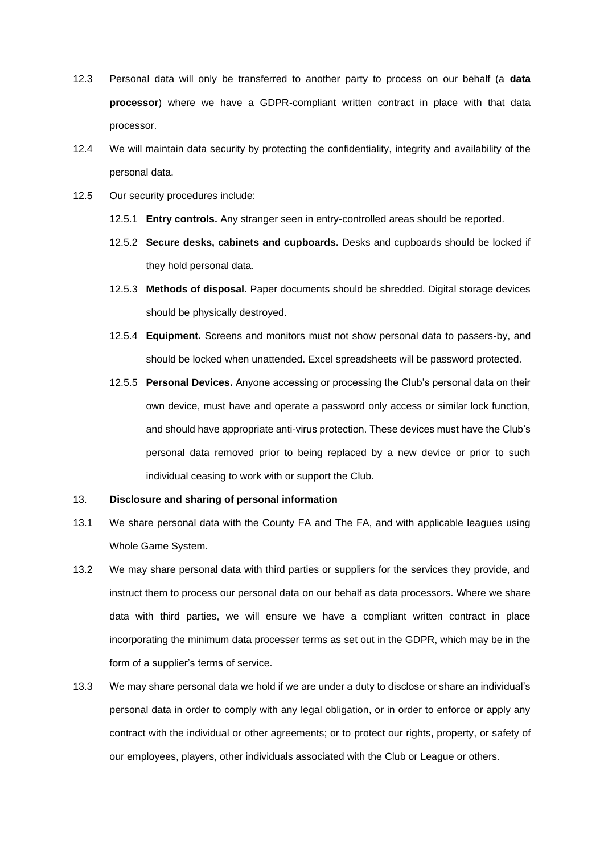- 12.3 Personal data will only be transferred to another party to process on our behalf (a **data processor**) where we have a GDPR-compliant written contract in place with that data processor.
- 12.4 We will maintain data security by protecting the confidentiality, integrity and availability of the personal data.
- 12.5 Our security procedures include:
	- 12.5.1 **Entry controls.** Any stranger seen in entry-controlled areas should be reported.
	- 12.5.2 **Secure desks, cabinets and cupboards.** Desks and cupboards should be locked if they hold personal data.
	- 12.5.3 **Methods of disposal.** Paper documents should be shredded. Digital storage devices should be physically destroyed.
	- 12.5.4 **Equipment.** Screens and monitors must not show personal data to passers-by, and should be locked when unattended. Excel spreadsheets will be password protected.
	- 12.5.5 **Personal Devices.** Anyone accessing or processing the Club's personal data on their own device, must have and operate a password only access or similar lock function, and should have appropriate anti-virus protection. These devices must have the Club's personal data removed prior to being replaced by a new device or prior to such individual ceasing to work with or support the Club.

#### 13. **Disclosure and sharing of personal information**

- 13.1 We share personal data with the County FA and The FA, and with applicable leagues using Whole Game System.
- 13.2 We may share personal data with third parties or suppliers for the services they provide, and instruct them to process our personal data on our behalf as data processors. Where we share data with third parties, we will ensure we have a compliant written contract in place incorporating the minimum data processer terms as set out in the GDPR, which may be in the form of a supplier's terms of service.
- 13.3 We may share personal data we hold if we are under a duty to disclose or share an individual's personal data in order to comply with any legal obligation, or in order to enforce or apply any contract with the individual or other agreements; or to protect our rights, property, or safety of our employees, players, other individuals associated with the Club or League or others.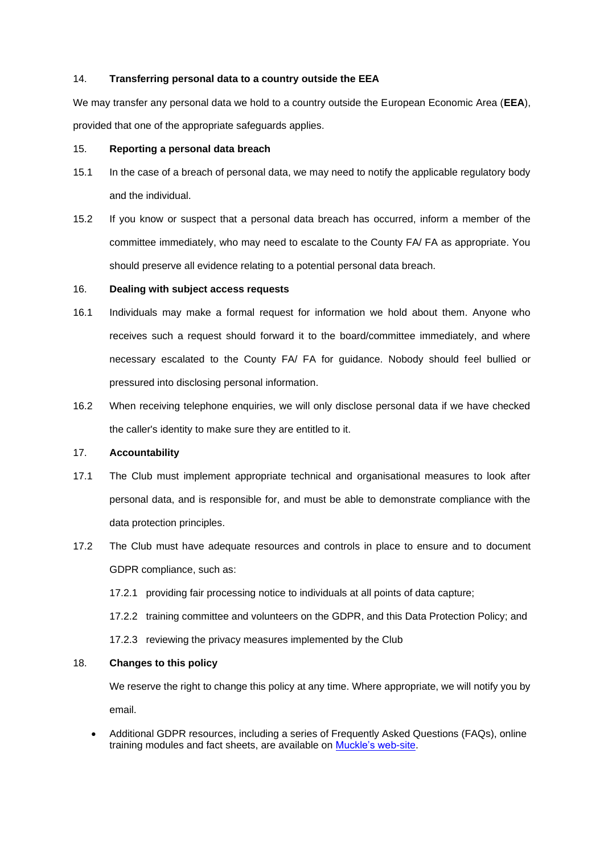#### 14. **Transferring personal data to a country outside the EEA**

We may transfer any personal data we hold to a country outside the European Economic Area (**EEA**), provided that one of the appropriate safeguards applies.

## 15. **Reporting a personal data breach**

- 15.1 In the case of a breach of personal data, we may need to notify the applicable regulatory body and the individual.
- 15.2 If you know or suspect that a personal data breach has occurred, inform a member of the committee immediately, who may need to escalate to the County FA/ FA as appropriate. You should preserve all evidence relating to a potential personal data breach.

## 16. **Dealing with subject access requests**

- 16.1 Individuals may make a formal request for information we hold about them. Anyone who receives such a request should forward it to the board/committee immediately, and where necessary escalated to the County FA/ FA for guidance. Nobody should feel bullied or pressured into disclosing personal information.
- 16.2 When receiving telephone enquiries, we will only disclose personal data if we have checked the caller's identity to make sure they are entitled to it.

## 17. **Accountability**

- 17.1 The Club must implement appropriate technical and organisational measures to look after personal data, and is responsible for, and must be able to demonstrate compliance with the data protection principles.
- 17.2 The Club must have adequate resources and controls in place to ensure and to document GDPR compliance, such as:
	- 17.2.1 providing fair processing notice to individuals at all points of data capture;
	- 17.2.2 training committee and volunteers on the GDPR, and this Data Protection Policy; and
	- 17.2.3 reviewing the privacy measures implemented by the Club

## 18. **Changes to this policy**

We reserve the right to change this policy at any time. Where appropriate, we will notify you by email.

• Additional GDPR resources, including a series of Frequently Asked Questions (FAQs), online training modules and fact sheets, are available on [Muckle's web-site.](https://www.muckle-llp.com/what-we-do/sports/the-football-association/gdpr-factsheets/)